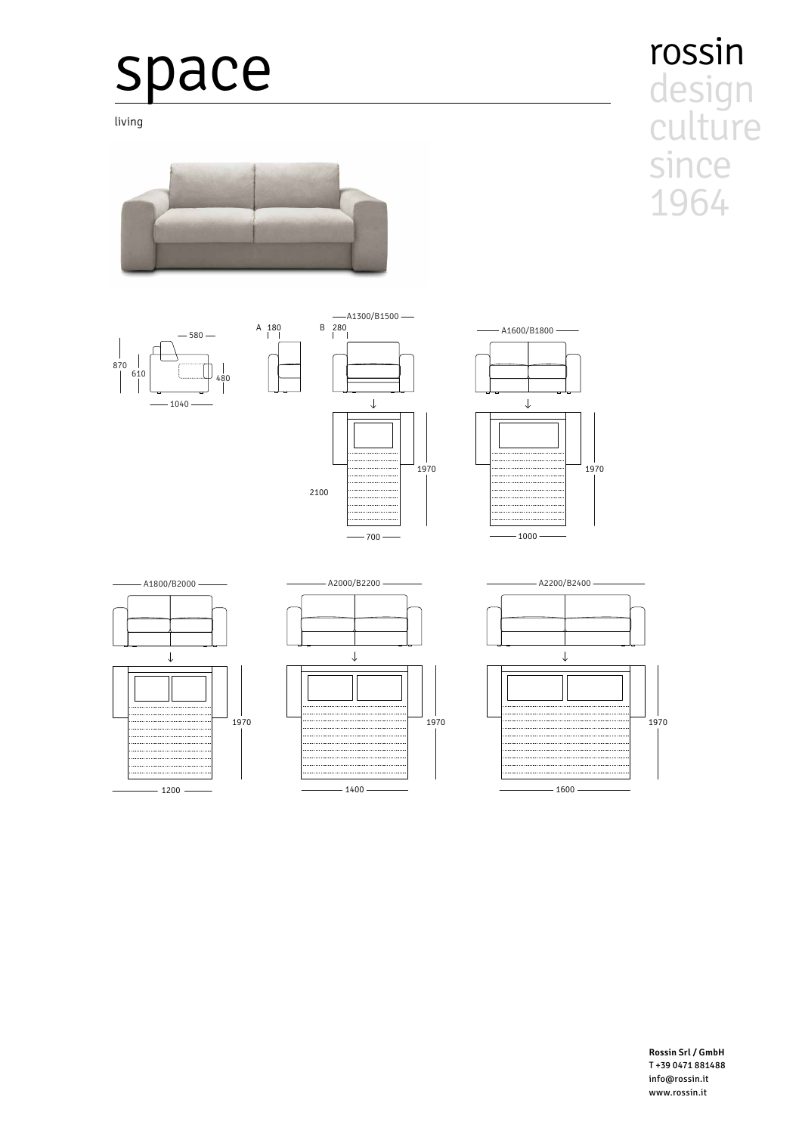## space

living















rossin design culture since 1964

**Rossin Srl / GmbH** T +39 0471 881488 info@rossin.it www.rossin.it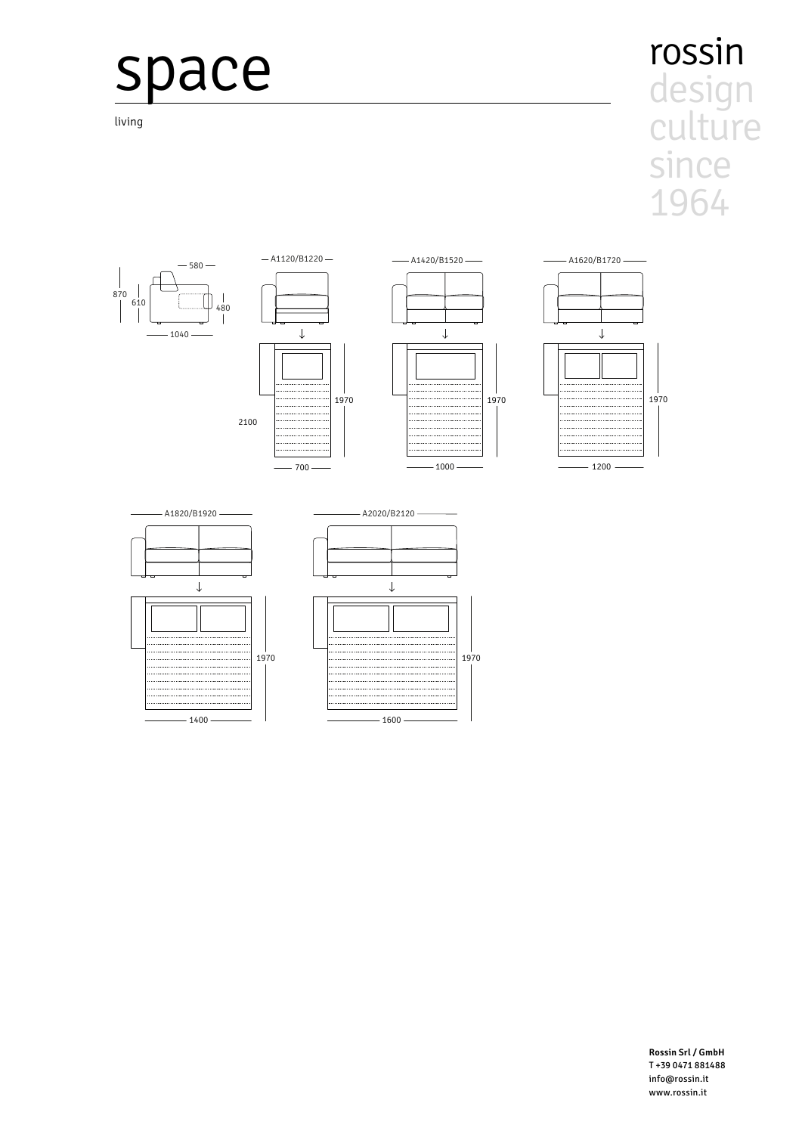## space

 $-1400$ 

living

## rossin design culture since 1964



 $-1600$ 

**Rossin Srl / GmbH** T+39 0471 881488 info@rossin.it www.rossin.it